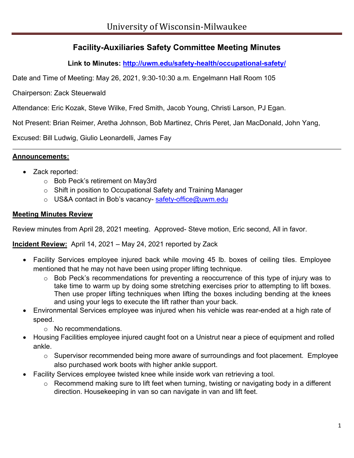# **Facility-Auxiliaries Safety Committee Meeting Minutes**

**Link to Minutes:<http://uwm.edu/safety-health/occupational-safety/>**

Date and Time of Meeting: May 26, 2021, 9:30-10:30 a.m. Engelmann Hall Room 105

Chairperson: Zack Steuerwald

Attendance: Eric Kozak, Steve Wilke, Fred Smith, Jacob Young, Christi Larson, PJ Egan.

Not Present: Brian Reimer, Aretha Johnson, Bob Martinez, Chris Peret, Jan MacDonald, John Yang,

Excused: Bill Ludwig, Giulio Leonardelli, James Fay

#### **Announcements:**

- Zack reported:
	- o Bob Peck's retirement on May3rd
	- o Shift in position to Occupational Safety and Training Manager
	- o US&A contact in Bob's vacancy- [safety-office@uwm.edu](mailto:safety-office@uwm.edu)

#### **Meeting Minutes Review**

Review minutes from April 28, 2021 meeting. Approved- Steve motion, Eric second, All in favor.

#### **Incident Review:** April 14, 2021 – May 24, 2021 reported by Zack

- Facility Services employee injured back while moving 45 lb. boxes of ceiling tiles. Employee mentioned that he may not have been using proper lifting technique.
	- o Bob Peck's recommendations for preventing a reoccurrence of this type of injury was to take time to warm up by doing some stretching exercises prior to attempting to lift boxes. Then use proper lifting techniques when lifting the boxes including bending at the knees and using your legs to execute the lift rather than your back.
- Environmental Services employee was injured when his vehicle was rear-ended at a high rate of speed.
	- o No recommendations.
- Housing Facilities employee injured caught foot on a Unistrut near a piece of equipment and rolled ankle.
	- o Supervisor recommended being more aware of surroundings and foot placement. Employee also purchased work boots with higher ankle support.
- Facility Services employee twisted knee while inside work van retrieving a tool.
	- o Recommend making sure to lift feet when turning, twisting or navigating body in a different direction. Housekeeping in van so can navigate in van and lift feet.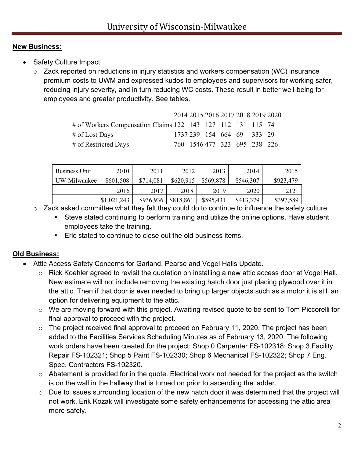### **New Business:**

- Safety Culture Impact
	- o Zack reported on reductions in injury statistics and workers compensation (WC) insurance premium costs to UWM and expressed kudos to employees and supervisors for working safer, reducing injury severity, and in turn reducing WC costs. These result in better well-being for employees and greater productivity. See tables.

|                                                             |  |  |                              | 2014 2015 2016 2017 2018 2019 2020 |
|-------------------------------------------------------------|--|--|------------------------------|------------------------------------|
| # of Workers Compensation Claims 122 143 127 112 131 115 74 |  |  |                              |                                    |
| # of Lost Days                                              |  |  | 1737 239 154 664 69 333 29   |                                    |
| # of Restricted Days                                        |  |  | 760 1546 477 323 695 238 226 |                                    |

| <b>Business Unit</b> | 2010        | 2011      | 2012      | 2013      | 2014      | 2015      |
|----------------------|-------------|-----------|-----------|-----------|-----------|-----------|
| UW-Milwaukee         | \$601,508   | \$714,081 | \$620,915 | \$569,878 | \$546,307 | \$923,479 |
|                      | 2016        | 2017      | 2018      | 2019      | 2020      | 2121      |
|                      | \$1,021,243 | \$936,936 | \$818,861 | \$595,431 | \$413,379 | \$397,589 |

o Zack asked committee what they felt they could do to continue to influence the safety culture.

- Steve stated continuing to perform training and utilize the online options. Have student employees take the training.
- **Eric stated to continue to close out the old business items.**

# **Old Business:**

- Attic Access Safety Concerns for Garland, Pearse and Vogel Halls Update.
	- o Rick Koehler agreed to revisit the quotation on installing a new attic access door at Vogel Hall. New estimate will not include removing the existing hatch door just placing plywood over it in the attic. Then if that door is ever needed to bring up larger objects such as a motor it is still an option for delivering equipment to the attic.
	- o We are moving forward with this project. Awaiting revised quote to be sent to Tom Piccorelli for final approval to proceed with the project.
	- o The project received final approval to proceed on February 11, 2020. The project has been added to the Facilities Services Scheduling Minutes as of February 13, 2020. The following work orders have been created for the project: Shop 0 Carpenter FS-102318; Shop 3 Facility Repair FS-102321; Shop 5 Paint FS-102330; Shop 6 Mechanical FS-102322; Shop 7 Eng. Spec. Contractors FS-102320.
	- $\circ$  Abatement is provided for in the quote. Electrical work not needed for the project as the switch is on the wall in the hallway that is turned on prior to ascending the ladder.
	- o Due to issues surrounding location of the new hatch door it was determined that the project will not work. Erik Kozak will investigate some safety enhancements for accessing the attic area more safely.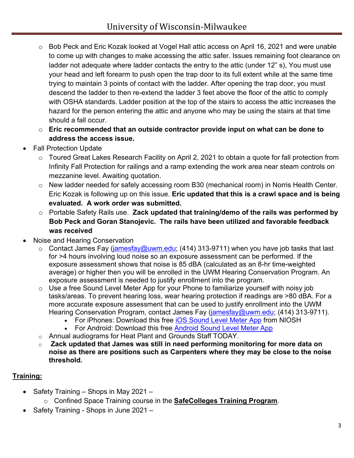- o Bob Peck and Eric Kozak looked at Vogel Hall attic access on April 16, 2021 and were unable to come up with changes to make accessing the attic safer. Issues remaining foot clearance on ladder not adequate where ladder contacts the entry to the attic (under 12" s), You must use your head and left forearm to push open the trap door to its full extent while at the same time trying to maintain 3 points of contact with the ladder. After opening the trap door, you must descend the ladder to then re-extend the ladder 3 feet above the floor of the attic to comply with OSHA standards. Ladder position at the top of the stairs to access the attic increases the hazard for the person entering the attic and anyone who may be using the stairs at that time should a fall occur.
- o **Eric recommended that an outside contractor provide input on what can be done to address the access issue.**
- **Fall Protection Update** 
	- o Toured Great Lakes Research Facility on April 2, 2021 to obtain a quote for fall protection from Infinity Fall Protection for railings and a ramp extending the work area near steam controls on mezzanine level. Awaiting quotation.
	- o New ladder needed for safely accessing room B30 (mechanical room) in Norris Health Center. Eric Kozak is following up on this issue. **Eric updated that this is a crawl space and is being evaluated. A work order was submitted.**
	- o Portable Safety Rails use. **Zack updated that training/demo of the rails was performed by Bob Peck and Goran Stanojevic. The rails have been utilized and favorable feedback was received**
- Noise and Hearing Conservation
	- $\circ$  Contact James Fay [\(jamesfay@uwm.edu;](mailto:jamesfay@uwm.edu) (414) 313-9711) when you have job tasks that last for >4 hours involving loud noise so an exposure assessment can be performed. If the exposure assessment shows that noise is 85 dBA (calculated as an 8-hr time-weighted average) or higher then you will be enrolled in the UWM Hearing Conservation Program. An exposure assessment is needed to justify enrollment into the program.
	- $\circ$  Use a free Sound Level Meter App for your Phone to familiarize yourself with noisy job tasks/areas. To prevent hearing loss, wear hearing protection if readings are >80 dBA. For a more accurate exposure assessment that can be used to justify enrollment into the UWM Hearing Conservation Program, contact James Fay [\(jamesfay@uwm.edu;](mailto:jamesfay@uwm.edu) (414) 313-9711).
		- For iPhones: Download this free [iOS Sound Level Meter App](https://nam02.safelinks.protection.outlook.com/?url=https%3A%2F%2Fwww.cdc.gov%2Fniosh%2Ftopics%2Fnoise%2Fapp.html&data=04%7C01%7Crjpeck%40uwm.edu%7Cf3fddd335a8448b1b8af08d8ee14b614%7C0bca7ac3fcb64efd89eb6de97603cf21%7C0%7C0%7C637521120003787992%7CUnknown%7CTWFpbGZsb3d8eyJWIjoiMC4wLjAwMDAiLCJQIjoiV2luMzIiLCJBTiI6Ik1haWwiLCJXVCI6Mn0%3D%7C1000&sdata=irdsgxGgkA1Ywr1qTIwls%2Fn1XubN4ZKLZtq2vdDq0Eo%3D&reserved=0) from NIOSH
		- For Android: Download this free [Android Sound Level Meter App](https://play.google.com/store/apps/details?id=coocent.app.tools.soundmeter.noisedetector&utm_campaign=free-traffic&utm_source=solutions-softonic-com&utm_medium=referral)
	- o Annual audiograms for Heat Plant and Grounds Staff TODAY.
	- o **Zack updated that James was still in need performing monitoring for more data on noise as there are positions such as Carpenters where they may be close to the noise threshold.**

# **Training:**

- Safety Training Shops in May 2021
	- o Confined Space Training course in the **SafeColleges Training Program**.
	- Safety Training Shops in June 2021 –